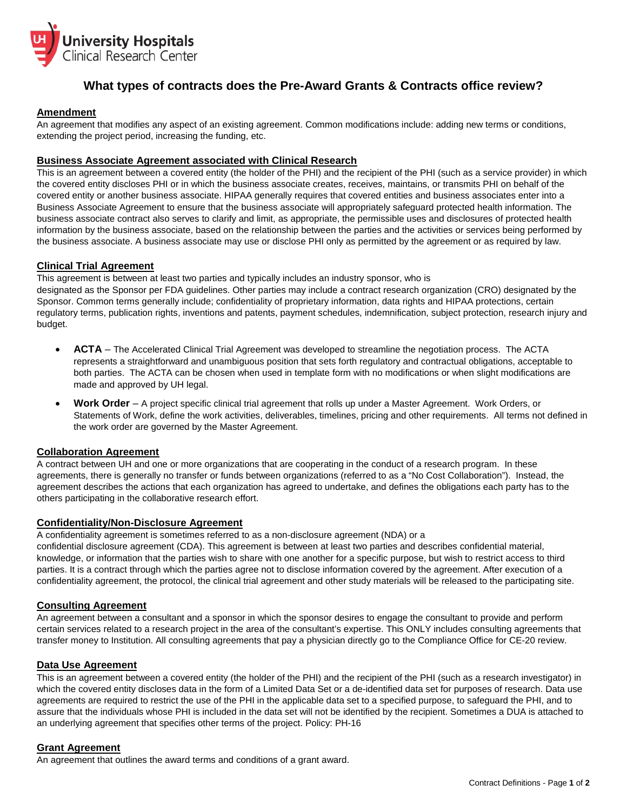

# **What types of contracts does the Pre-Award Grants & Contracts office review?**

# **Amendment**

An agreement that modifies any aspect of an existing agreement. Common modifications include: adding new terms or conditions, extending the project period, increasing the funding, etc.

# **Business Associate Agreement associated with Clinical Research**

This is an agreement between a covered entity (the holder of the PHI) and the recipient of the PHI (such as a service provider) in which the covered entity discloses PHI or in which the business associate creates, receives, maintains, or transmits PHI on behalf of the covered entity or another business associate. HIPAA generally requires that covered entities and business associates enter into a Business Associate Agreement to ensure that the business associate will appropriately safeguard protected health information. The business associate contract also serves to clarify and limit, as appropriate, the permissible uses and disclosures of protected health information by the business associate, based on the relationship between the parties and the activities or services being performed by the business associate. A business associate may use or disclose PHI only as permitted by the agreement or as required by law.

# **Clinical Trial Agreement**

This agreement is between at least two parties and typically includes an industry sponsor, who is designated as the Sponsor per FDA guidelines. Other parties may include a contract research organization (CRO) designated by the Sponsor. Common terms generally include; confidentiality of proprietary information, data rights and HIPAA protections, certain regulatory terms, publication rights, inventions and patents, payment schedules, indemnification, subject protection, research injury and budget.

- **ACTA** The Accelerated Clinical Trial Agreement was developed to streamline the negotiation process. The ACTA represents a straightforward and unambiguous position that sets forth regulatory and contractual obligations, acceptable to both parties. The ACTA can be chosen when used in template form with no modifications or when slight modifications are made and approved by UH legal.
- **Work Order** A project specific clinical trial agreement that rolls up under a Master Agreement. Work Orders, or Statements of Work, define the work activities, deliverables, timelines, pricing and other requirements. All terms not defined in the work order are governed by the Master Agreement.

## **Collaboration Agreement**

A contract between UH and one or more organizations that are cooperating in the conduct of a research program. In these agreements, there is generally no transfer or funds between organizations (referred to as a "No Cost Collaboration"). Instead, the agreement describes the actions that each organization has agreed to undertake, and defines the obligations each party has to the others participating in the collaborative research effort.

# **Confidentiality/Non-Disclosure Agreement**

A confidentiality agreement is sometimes referred to as a non-disclosure agreement (NDA) or a confidential disclosure agreement (CDA). This agreement is between at least two parties and describes confidential material, knowledge, or information that the parties wish to share with one another for a specific purpose, but wish to restrict access to third parties. It is a contract through which the parties agree not to disclose information covered by the agreement. After execution of a confidentiality agreement, the protocol, the clinical trial agreement and other study materials will be released to the participating site.

# **Consulting Agreement**

An agreement between a consultant and a sponsor in which the sponsor desires to engage the consultant to provide and perform certain services related to a research project in the area of the consultant's expertise. This ONLY includes consulting agreements that transfer money to Institution. All consulting agreements that pay a physician directly go to the Compliance Office for CE-20 review.

## **Data Use Agreement**

This is an agreement between a covered entity (the holder of the PHI) and the recipient of the PHI (such as a research investigator) in which the covered entity discloses data in the form of a Limited Data Set or a de-identified data set for purposes of research. Data use agreements are required to restrict the use of the PHI in the applicable data set to a specified purpose, to safeguard the PHI, and to assure that the individuals whose PHI is included in the data set will not be identified by the recipient. Sometimes a DUA is attached to an underlying agreement that specifies other terms of the project. Policy: PH-16

## **Grant Agreement**

An agreement that outlines the award terms and conditions of a grant award.